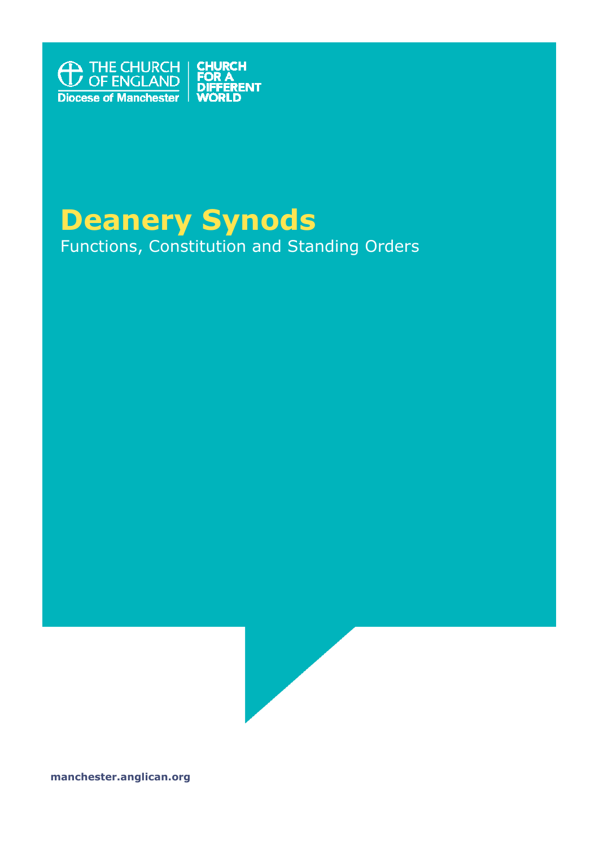

# **Deanery Synods**

Functions, Constitution and Standing Orders



**manchester.anglican.org**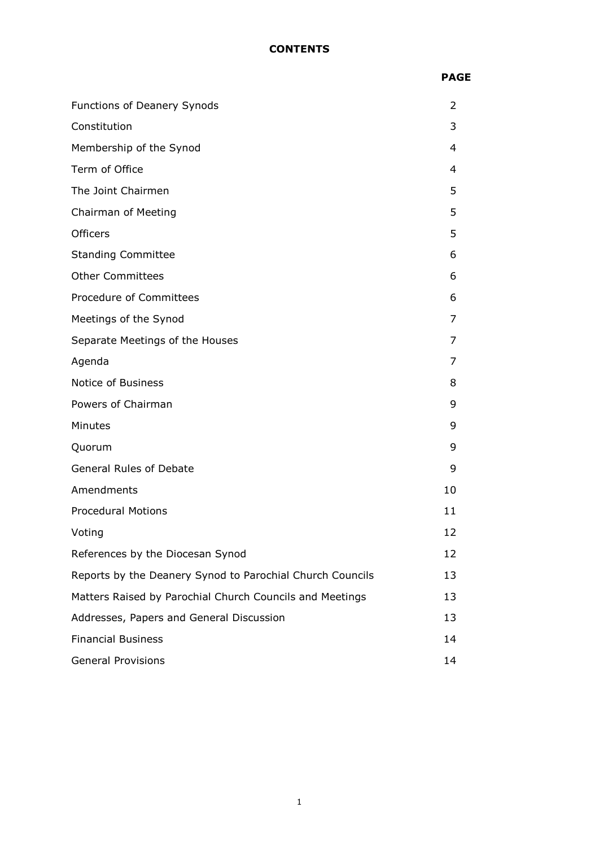## **CONTENTS**

|                                 | <b>PAGE</b>    |
|---------------------------------|----------------|
| Functions of Deanery Synods     | 2              |
| Constitution                    | 3              |
| Membership of the Synod         | $\overline{4}$ |
| Term of Office                  | 4              |
| The Joint Chairmen              | 5              |
| Chairman of Meeting             | 5              |
| Officers                        | 5              |
| <b>Standing Committee</b>       | 6              |
| <b>Other Committees</b>         | 6              |
| Procedure of Committees         | 6              |
| Meetings of the Synod           | $\overline{7}$ |
| Separate Meetings of the Houses | 7              |
| Agenda                          | 7              |
| Notice of Business              | 8              |
| Powers of Chairman              | 9              |
| Minutes                         | 9              |
| Quorum                          | 9              |
| <b>General Rules of Debate</b>  | 9              |
| Amendments                      | 10             |
| <b>Procedural Motions</b>       | 11             |
| Voting                          | 12             |
|                                 |                |

| Voting                                                    | 12 |
|-----------------------------------------------------------|----|
| References by the Diocesan Synod                          | 12 |
| Reports by the Deanery Synod to Parochial Church Councils | 13 |
| Matters Raised by Parochial Church Councils and Meetings  | 13 |
| Addresses, Papers and General Discussion                  | 13 |
| <b>Financial Business</b>                                 | 14 |
| <b>General Provisions</b>                                 | 14 |
|                                                           |    |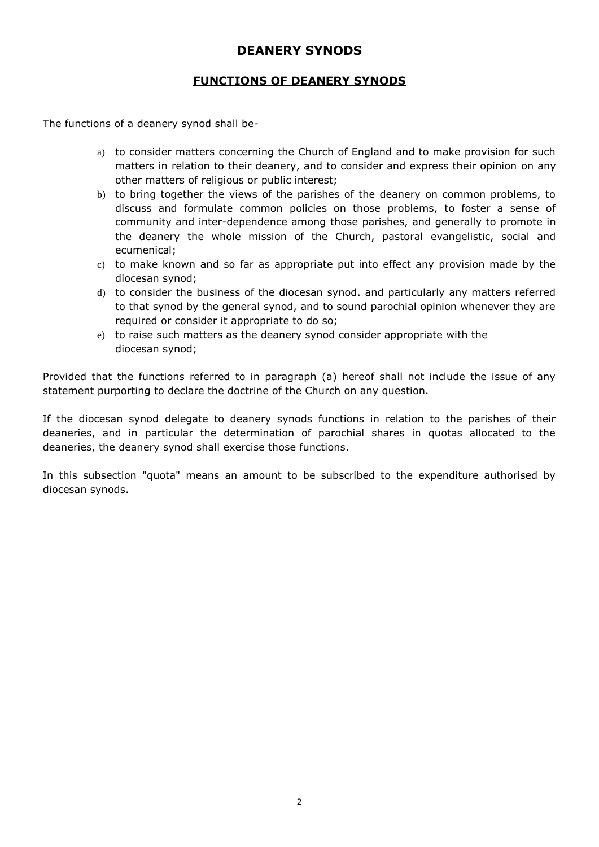# **DEANERY SYNODS**

# **FUNCTIONS OF DEANERY SYNODS**

The functions of a deanery synod shall be-

- a) to consider matters concerning the Church of England and to make provision for such matters in relation to their deanery, and to consider and express their opinion on any other matters of religious or public interest;
- b) to bring together the views of the parishes of the deanery on common problems, to discuss and formulate common policies on those problems, to foster a sense of community and inter-dependence among those parishes, and generally to promote in the deanery the whole mission of the Church, pastoral evangelistic, social and ecumenical;
- c) to make known and so far as appropriate put into effect any provision made by the diocesan synod;
- d) to consider the business of the diocesan synod. and particularly any matters referred to that synod by the general synod, and to sound parochial opinion whenever they are required or consider it appropriate to do so;
- e) to raise such matters as the deanery synod consider appropriate with the diocesan synod;

Provided that the functions referred to in paragraph (a) hereof shall not include the issue of any statement purporting to declare the doctrine of the Church on any question.

If the diocesan synod delegate to deanery synods functions in relation to the parishes of their deaneries, and in particular the determination of parochial shares in quotas allocated to the deaneries, the deanery synod shall exercise those functions.

In this subsection "quota" means an amount to be subscribed to the expenditure authorised by diocesan synods.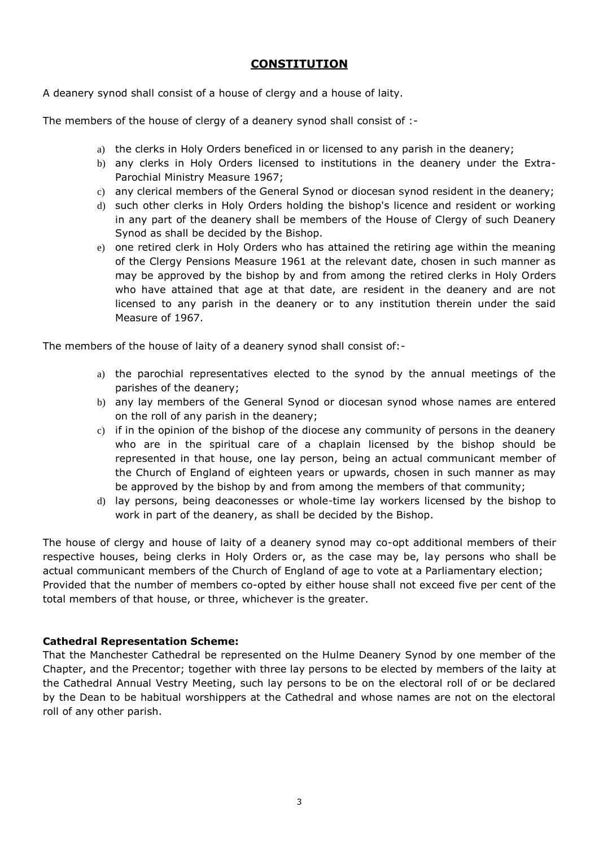# **CONSTITUTION**

A deanery synod shall consist of a house of clergy and a house of laity.

The members of the house of clergy of a deanery synod shall consist of :-

- a) the clerks in Holy Orders beneficed in or licensed to any parish in the deanery;
- b) any clerks in Holy Orders licensed to institutions in the deanery under the Extra-Parochial Ministry Measure 1967;
- c) any clerical members of the General Synod or diocesan synod resident in the deanery;
- d) such other clerks in Holy Orders holding the bishop's licence and resident or working in any part of the deanery shall be members of the House of Clergy of such Deanery Synod as shall be decided by the Bishop.
- e) one retired clerk in Holy Orders who has attained the retiring age within the meaning of the Clergy Pensions Measure 1961 at the relevant date, chosen in such manner as may be approved by the bishop by and from among the retired clerks in Holy Orders who have attained that age at that date, are resident in the deanery and are not licensed to any parish in the deanery or to any institution therein under the said Measure of 1967.

The members of the house of laity of a deanery synod shall consist of:-

- a) the parochial representatives elected to the synod by the annual meetings of the parishes of the deanery;
- b) any lay members of the General Synod or diocesan synod whose names are entered on the roll of any parish in the deanery;
- c) if in the opinion of the bishop of the diocese any community of persons in the deanery who are in the spiritual care of a chaplain licensed by the bishop should be represented in that house, one lay person, being an actual communicant member of the Church of England of eighteen years or upwards, chosen in such manner as may be approved by the bishop by and from among the members of that community;
- d) lay persons, being deaconesses or whole-time lay workers licensed by the bishop to work in part of the deanery, as shall be decided by the Bishop.

The house of clergy and house of laity of a deanery synod may co-opt additional members of their respective houses, being clerks in Holy Orders or, as the case may be, lay persons who shall be actual communicant members of the Church of England of age to vote at a Parliamentary election; Provided that the number of members co-opted by either house shall not exceed five per cent of the total members of that house, or three, whichever is the greater.

# **Cathedral Representation Scheme:**

That the Manchester Cathedral be represented on the Hulme Deanery Synod by one member of the Chapter, and the Precentor; together with three lay persons to be elected by members of the laity at the Cathedral Annual Vestry Meeting, such lay persons to be on the electoral roll of or be declared by the Dean to be habitual worshippers at the Cathedral and whose names are not on the electoral roll of any other parish.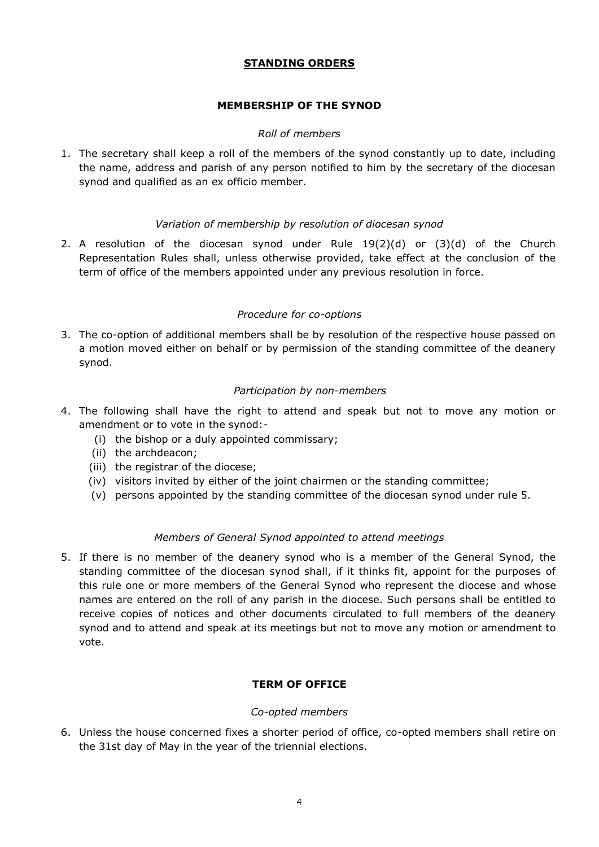# **STANDING ORDERS**

# **MEMBERSHIP OF THE SYNOD**

# *Roll of members*

1. The secretary shall keep a roll of the members of the synod constantly up to date, including the name, address and parish of any person notified to him by the secretary of the diocesan synod and qualified as an ex officio member.

# *Variation of membership by resolution of diocesan synod*

2. A resolution of the diocesan synod under Rule 19(2)(d) or (3)(d) of the Church Representation Rules shall, unless otherwise provided, take effect at the conclusion of the term of office of the members appointed under any previous resolution in force.

# *Procedure for co-options*

3. The co-option of additional members shall be by resolution of the respective house passed on a motion moved either on behalf or by permission of the standing committee of the deanery synod.

## *Participation by non-members*

- 4. The following shall have the right to attend and speak but not to move any motion or amendment or to vote in the synod:-
	- (i) the bishop or a duly appointed commissary;
	- (ii) the archdeacon;
	- (iii) the registrar of the diocese;
	- (iv) visitors invited by either of the joint chairmen or the standing committee;
	- (v) persons appointed by the standing committee of the diocesan synod under rule 5.

# *Members of General Synod appointed to attend meetings*

5. If there is no member of the deanery synod who is a member of the General Synod, the standing committee of the diocesan synod shall, if it thinks fit, appoint for the purposes of this rule one or more members of the General Synod who represent the diocese and whose names are entered on the roll of any parish in the diocese. Such persons shall be entitled to receive copies of notices and other documents circulated to full members of the deanery synod and to attend and speak at its meetings but not to move any motion or amendment to vote.

# **TERM OF OFFICE**

## *Co-opted members*

6. Unless the house concerned fixes a shorter period of office, co-opted members shall retire on the 31st day of May in the year of the triennial elections.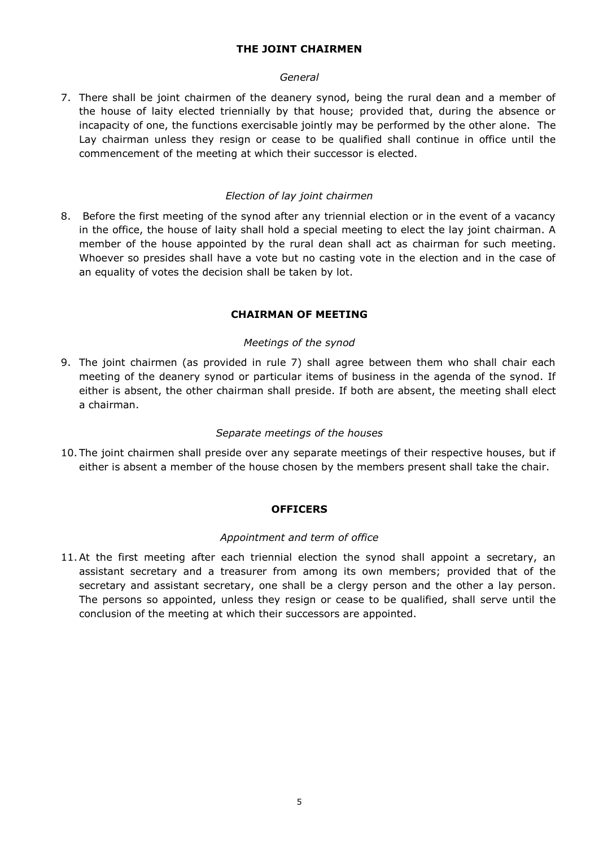# **THE JOINT CHAIRMEN**

# *General*

7. There shall be joint chairmen of the deanery synod, being the rural dean and a member of the house of laity elected triennially by that house; provided that, during the absence or incapacity of one, the functions exercisable jointly may be performed by the other alone. The Lay chairman unless they resign or cease to be qualified shall continue in office until the commencement of the meeting at which their successor is elected.

## *Election of lay joint chairmen*

8. Before the first meeting of the synod after any triennial election or in the event of a vacancy in the office, the house of laity shall hold a special meeting to elect the lay joint chairman. A member of the house appointed by the rural dean shall act as chairman for such meeting. Whoever so presides shall have a vote but no casting vote in the election and in the case of an equality of votes the decision shall be taken by lot.

# **CHAIRMAN OF MEETING**

## *Meetings of the synod*

9. The joint chairmen (as provided in rule 7) shall agree between them who shall chair each meeting of the deanery synod or particular items of business in the agenda of the synod. If either is absent, the other chairman shall preside. If both are absent, the meeting shall elect a chairman.

## *Separate meetings of the houses*

10. The joint chairmen shall preside over any separate meetings of their respective houses, but if either is absent a member of the house chosen by the members present shall take the chair.

## **OFFICERS**

## *Appointment and term of office*

11.At the first meeting after each triennial election the synod shall appoint a secretary, an assistant secretary and a treasurer from among its own members; provided that of the secretary and assistant secretary, one shall be a clergy person and the other a lay person. The persons so appointed, unless they resign or cease to be qualified, shall serve until the conclusion of the meeting at which their successors are appointed.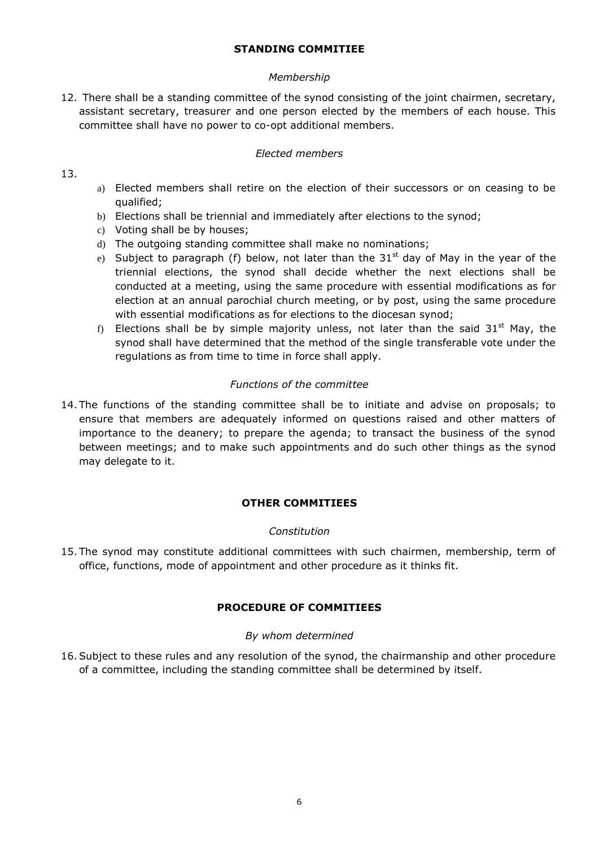# **STANDING COMMITIEE**

# *Membership*

12. There shall be a standing committee of the synod consisting of the joint chairmen, secretary, assistant secretary, treasurer and one person elected by the members of each house. This committee shall have no power to co-opt additional members.

# *Elected members*

# 13.

- a) Elected members shall retire on the election of their successors or on ceasing to be qualified;
- b) Elections shall be triennial and immediately after elections to the synod;
- c) Voting shall be by houses;
- d) The outgoing standing committee shall make no nominations;
- e) Subject to paragraph (f) below, not later than the 31<sup>st</sup> day of May in the year of the triennial elections, the synod shall decide whether the next elections shall be conducted at a meeting, using the same procedure with essential modifications as for election at an annual parochial church meeting, or by post, using the same procedure with essential modifications as for elections to the diocesan synod;
- f) Elections shall be by simple majority unless, not later than the said  $31<sup>st</sup>$  May, the synod shall have determined that the method of the single transferable vote under the regulations as from time to time in force shall apply.

# *Functions of the committee*

14. The functions of the standing committee shall be to initiate and advise on proposals; to ensure that members are adequately informed on questions raised and other matters of importance to the deanery; to prepare the agenda; to transact the business of the synod between meetings; and to make such appointments and do such other things as the synod may delegate to it.

# **OTHER COMMITIEES**

# *Constitution*

15. The synod may constitute additional committees with such chairmen, membership, term of office, functions, mode of appointment and other procedure as it thinks fit.

# **PROCEDURE OF COMMITIEES**

# *By whom determined*

16.Subject to these rules and any resolution of the synod, the chairmanship and other procedure of a committee, including the standing committee shall be determined by itself.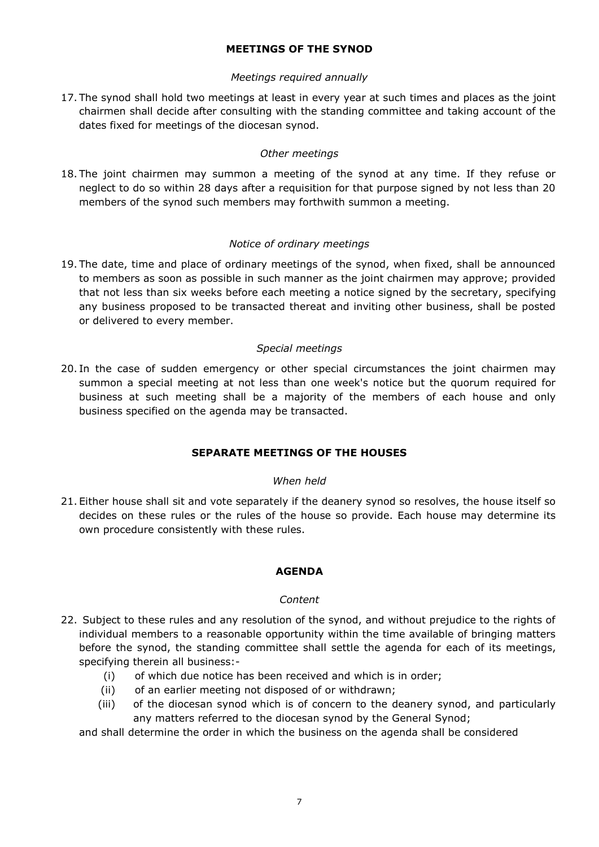# **MEETINGS OF THE SYNOD**

## *Meetings required annually*

17. The synod shall hold two meetings at least in every year at such times and places as the joint chairmen shall decide after consulting with the standing committee and taking account of the dates fixed for meetings of the diocesan synod.

## *Other meetings*

18. The joint chairmen may summon a meeting of the synod at any time. If they refuse or neglect to do so within 28 days after a requisition for that purpose signed by not less than 20 members of the synod such members may forthwith summon a meeting.

## *Notice of ordinary meetings*

19. The date, time and place of ordinary meetings of the synod, when fixed, shall be announced to members as soon as possible in such manner as the joint chairmen may approve; provided that not less than six weeks before each meeting a notice signed by the secretary, specifying any business proposed to be transacted thereat and inviting other business, shall be posted or delivered to every member.

## *Special meetings*

20. In the case of sudden emergency or other special circumstances the joint chairmen may summon a special meeting at not less than one week's notice but the quorum required for business at such meeting shall be a majority of the members of each house and only business specified on the agenda may be transacted.

# **SEPARATE MEETINGS OF THE HOUSES**

## *When held*

21. Either house shall sit and vote separately if the deanery synod so resolves, the house itself so decides on these rules or the rules of the house so provide. Each house may determine its own procedure consistently with these rules.

## **AGENDA**

## *Content*

- 22. Subject to these rules and any resolution of the synod, and without prejudice to the rights of individual members to a reasonable opportunity within the time available of bringing matters before the synod, the standing committee shall settle the agenda for each of its meetings, specifying therein all business:-
	- (i) of which due notice has been received and which is in order;
	- (ii) of an earlier meeting not disposed of or withdrawn;
	- (iii) of the diocesan synod which is of concern to the deanery synod, and particularly any matters referred to the diocesan synod by the General Synod;

and shall determine the order in which the business on the agenda shall be considered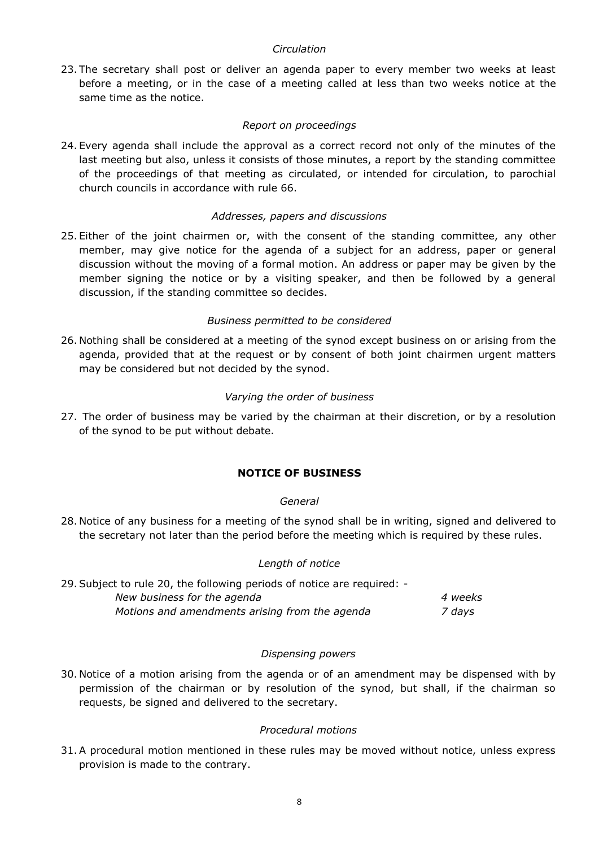## *Circulation*

23. The secretary shall post or deliver an agenda paper to every member two weeks at least before a meeting, or in the case of a meeting called at less than two weeks notice at the same time as the notice.

## *Report on proceedings*

24. Every agenda shall include the approval as a correct record not only of the minutes of the last meeting but also, unless it consists of those minutes, a report by the standing committee of the proceedings of that meeting as circulated, or intended for circulation, to parochial church councils in accordance with rule 66.

## *Addresses, papers and discussions*

25. Either of the joint chairmen or, with the consent of the standing committee, any other member, may give notice for the agenda of a subject for an address, paper or general discussion without the moving of a formal motion. An address or paper may be given by the member signing the notice or by a visiting speaker, and then be followed by a general discussion, if the standing committee so decides.

## *Business permitted to be considered*

26. Nothing shall be considered at a meeting of the synod except business on or arising from the agenda, provided that at the request or by consent of both joint chairmen urgent matters may be considered but not decided by the synod.

## *Varying the order of business*

27. The order of business may be varied by the chairman at their discretion, or by a resolution of the synod to be put without debate.

# **NOTICE OF BUSINESS**

## *General*

28. Notice of any business for a meeting of the synod shall be in writing, signed and delivered to the secretary not later than the period before the meeting which is required by these rules.

## *Length of notice*

| 29. Subject to rule 20, the following periods of notice are required: - |         |
|-------------------------------------------------------------------------|---------|
| New business for the agenda                                             | 4 weeks |
| Motions and amendments arising from the agenda                          | 7 davs  |

## *Dispensing powers*

30. Notice of a motion arising from the agenda or of an amendment may be dispensed with by permission of the chairman or by resolution of the synod, but shall, if the chairman so requests, be signed and delivered to the secretary.

## *Procedural motions*

31.A procedural motion mentioned in these rules may be moved without notice, unless express provision is made to the contrary.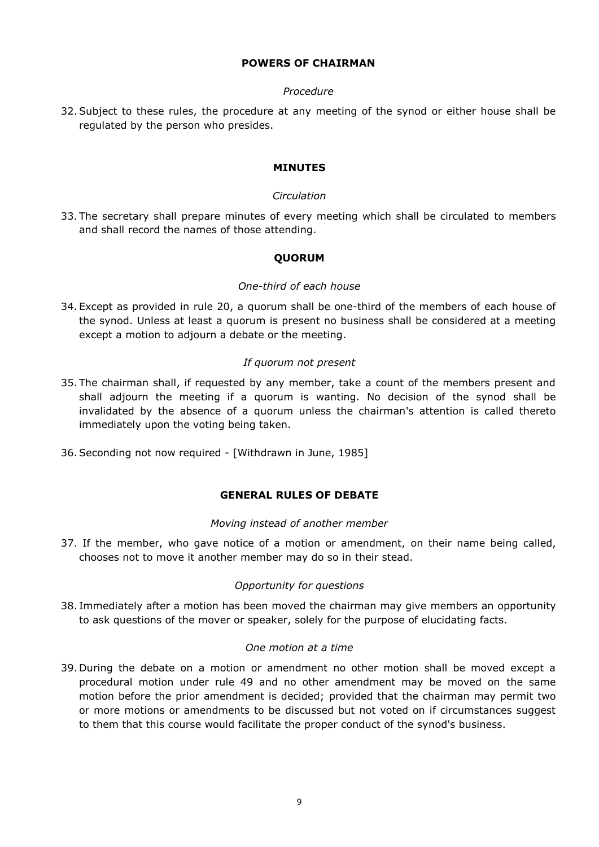# **POWERS OF CHAIRMAN**

## *Procedure*

32.Subject to these rules, the procedure at any meeting of the synod or either house shall be regulated by the person who presides.

## **MINUTES**

## *Circulation*

33. The secretary shall prepare minutes of every meeting which shall be circulated to members and shall record the names of those attending.

# **QUORUM**

## *One-third of each house*

34. Except as provided in rule 20, a quorum shall be one-third of the members of each house of the synod. Unless at least a quorum is present no business shall be considered at a meeting except a motion to adjourn a debate or the meeting.

# *If quorum not present*

- 35. The chairman shall, if requested by any member, take a count of the members present and shall adjourn the meeting if a quorum is wanting. No decision of the synod shall be invalidated by the absence of a quorum unless the chairman's attention is called thereto immediately upon the voting being taken.
- 36.Seconding not now required [Withdrawn in June, 1985]

# **GENERAL RULES OF DEBATE**

## *Moving instead of another member*

37. If the member, who gave notice of a motion or amendment, on their name being called, chooses not to move it another member may do so in their stead.

## *Opportunity for questions*

38. Immediately after a motion has been moved the chairman may give members an opportunity to ask questions of the mover or speaker, solely for the purpose of elucidating facts.

## *One motion at a time*

39. During the debate on a motion or amendment no other motion shall be moved except a procedural motion under rule 49 and no other amendment may be moved on the same motion before the prior amendment is decided; provided that the chairman may permit two or more motions or amendments to be discussed but not voted on if circumstances suggest to them that this course would facilitate the proper conduct of the synod's business.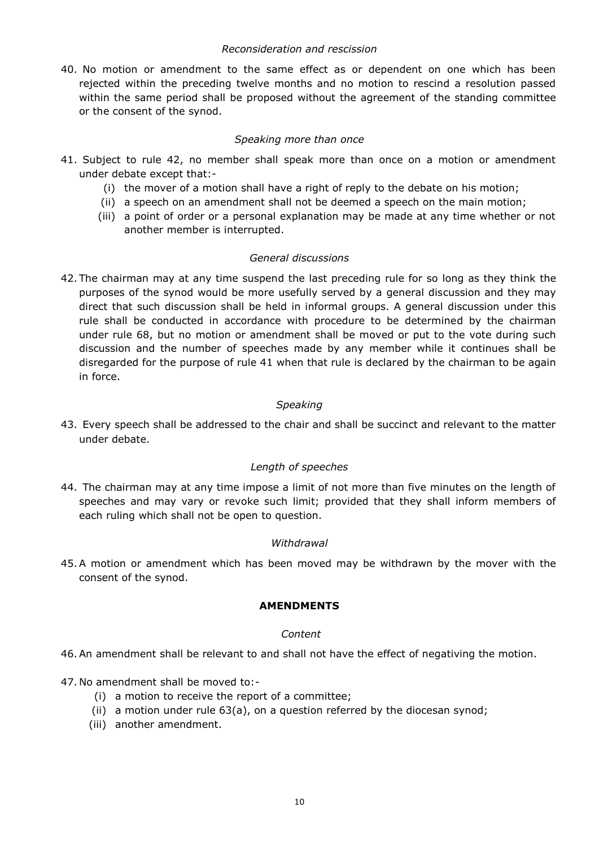## *Reconsideration and rescission*

40. No motion or amendment to the same effect as or dependent on one which has been rejected within the preceding twelve months and no motion to rescind a resolution passed within the same period shall be proposed without the agreement of the standing committee or the consent of the synod.

## *Speaking more than once*

- 41. Subject to rule 42, no member shall speak more than once on a motion or amendment under debate except that:-
	- (i) the mover of a motion shall have a right of reply to the debate on his motion;
	- (ii) a speech on an amendment shall not be deemed a speech on the main motion;
	- (iii) a point of order or a personal explanation may be made at any time whether or not another member is interrupted.

## *General discussions*

42. The chairman may at any time suspend the last preceding rule for so long as they think the purposes of the synod would be more usefully served by a general discussion and they may direct that such discussion shall be held in informal groups. A general discussion under this rule shall be conducted in accordance with procedure to be determined by the chairman under rule 68, but no motion or amendment shall be moved or put to the vote during such discussion and the number of speeches made by any member while it continues shall be disregarded for the purpose of rule 41 when that rule is declared by the chairman to be again in force.

# *Speaking*

43. Every speech shall be addressed to the chair and shall be succinct and relevant to the matter under debate.

# *Length of speeches*

44. The chairman may at any time impose a limit of not more than five minutes on the length of speeches and may vary or revoke such limit; provided that they shall inform members of each ruling which shall not be open to question.

## *Withdrawal*

45.A motion or amendment which has been moved may be withdrawn by the mover with the consent of the synod.

## **AMENDMENTS**

## *Content*

- 46.An amendment shall be relevant to and shall not have the effect of negativing the motion.
- 47. No amendment shall be moved to:-
	- (i) a motion to receive the report of a committee;
	- (ii) a motion under rule 63(a), on a question referred by the diocesan synod;
	- (iii) another amendment.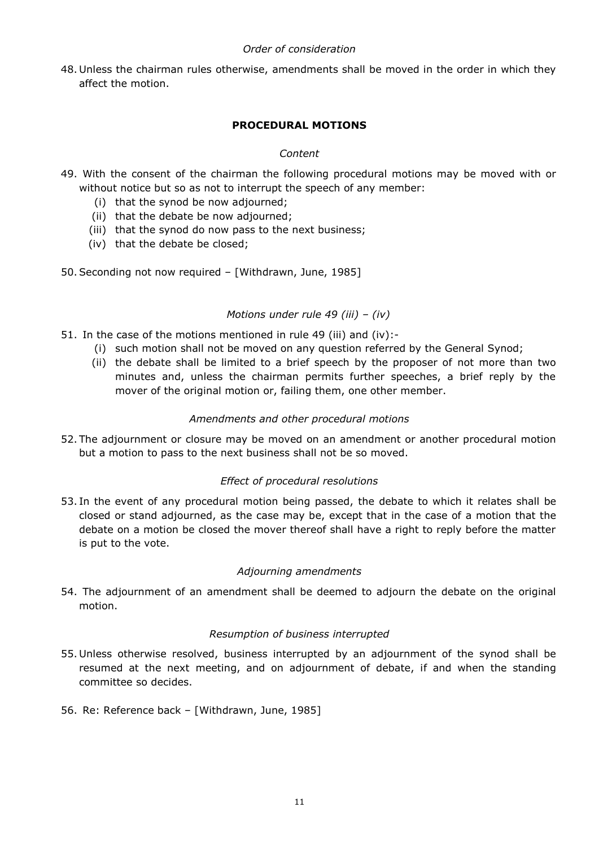## *Order of consideration*

48. Unless the chairman rules otherwise, amendments shall be moved in the order in which they affect the motion.

# **PROCEDURAL MOTIONS**

# *Content*

- 49. With the consent of the chairman the following procedural motions may be moved with or without notice but so as not to interrupt the speech of any member:
	- (i) that the synod be now adjourned;
	- (ii) that the debate be now adjourned;
	- (iii) that the synod do now pass to the next business;
	- (iv) that the debate be closed;
- 50.Seconding not now required [Withdrawn, June, 1985]

# *Motions under rule 49 (iii) – (iv)*

- 51. In the case of the motions mentioned in rule 49 (iii) and (iv):-
	- (i) such motion shall not be moved on any question referred by the General Synod;
	- (ii) the debate shall be limited to a brief speech by the proposer of not more than two minutes and, unless the chairman permits further speeches, a brief reply by the mover of the original motion or, failing them, one other member.

# *Amendments and other procedural motions*

52. The adjournment or closure may be moved on an amendment or another procedural motion but a motion to pass to the next business shall not be so moved.

# *Effect of procedural resolutions*

53. In the event of any procedural motion being passed, the debate to which it relates shall be closed or stand adjourned, as the case may be, except that in the case of a motion that the debate on a motion be closed the mover thereof shall have a right to reply before the matter is put to the vote.

# *Adjourning amendments*

54. The adjournment of an amendment shall be deemed to adjourn the debate on the original motion.

## *Resumption of business interrupted*

- 55. Unless otherwise resolved, business interrupted by an adjournment of the synod shall be resumed at the next meeting, and on adjournment of debate, if and when the standing committee so decides.
- 56. Re: Reference back [Withdrawn, June, 1985]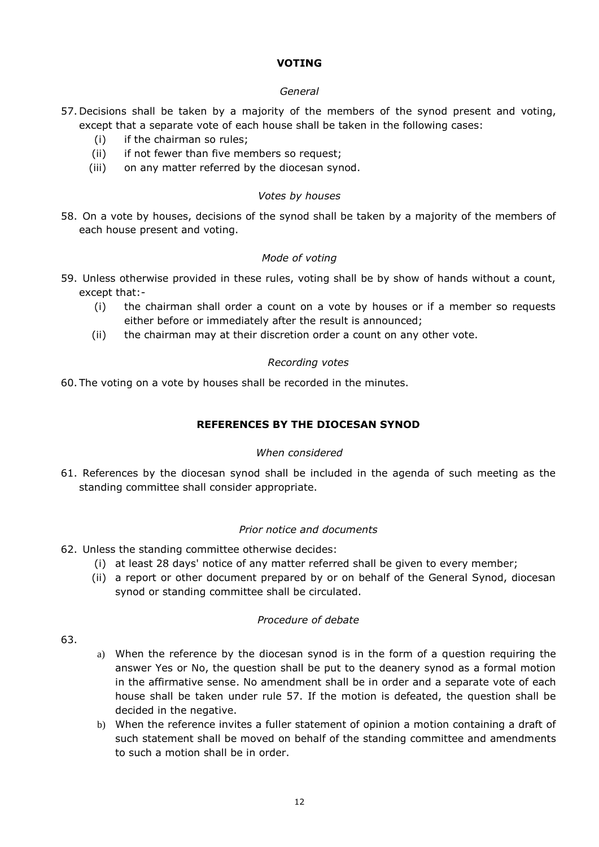# **VOTING**

## *General*

- 57. Decisions shall be taken by a majority of the members of the synod present and voting, except that a separate vote of each house shall be taken in the following cases:
	- (i) if the chairman so rules;
	- (ii) if not fewer than five members so request;
	- (iii) on any matter referred by the diocesan synod.

## *Votes by houses*

58. On a vote by houses, decisions of the synod shall be taken by a majority of the members of each house present and voting.

# *Mode of voting*

- 59. Unless otherwise provided in these rules, voting shall be by show of hands without a count, except that:-
	- (i) the chairman shall order a count on a vote by houses or if a member so requests either before or immediately after the result is announced;
	- (ii) the chairman may at their discretion order a count on any other vote.

# *Recording votes*

60. The voting on a vote by houses shall be recorded in the minutes.

# **REFERENCES BY THE DIOCESAN SYNOD**

# *When considered*

61. References by the diocesan synod shall be included in the agenda of such meeting as the standing committee shall consider appropriate.

# *Prior notice and documents*

- 62. Unless the standing committee otherwise decides:
	- (i) at least 28 days' notice of any matter referred shall be given to every member;
	- (ii) a report or other document prepared by or on behalf of the General Synod, diocesan synod or standing committee shall be circulated.

# *Procedure of debate*

- 63.
- a) When the reference by the diocesan synod is in the form of a question requiring the answer Yes or No, the question shall be put to the deanery synod as a formal motion in the affirmative sense. No amendment shall be in order and a separate vote of each house shall be taken under rule 57. If the motion is defeated, the question shall be decided in the negative.
- b) When the reference invites a fuller statement of opinion a motion containing a draft of such statement shall be moved on behalf of the standing committee and amendments to such a motion shall be in order.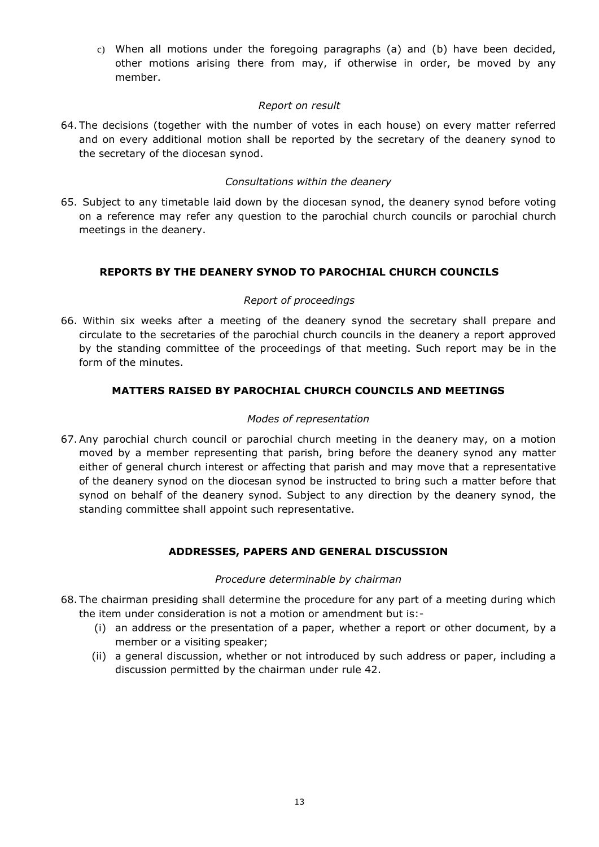c) When all motions under the foregoing paragraphs (a) and (b) have been decided, other motions arising there from may, if otherwise in order, be moved by any member.

## *Report on result*

64. The decisions (together with the number of votes in each house) on every matter referred and on every additional motion shall be reported by the secretary of the deanery synod to the secretary of the diocesan synod.

# *Consultations within the deanery*

65. Subject to any timetable laid down by the diocesan synod, the deanery synod before voting on a reference may refer any question to the parochial church councils or parochial church meetings in the deanery.

# **REPORTS BY THE DEANERY SYNOD TO PAROCHIAL CHURCH COUNCILS**

# *Report of proceedings*

66. Within six weeks after a meeting of the deanery synod the secretary shall prepare and circulate to the secretaries of the parochial church councils in the deanery a report approved by the standing committee of the proceedings of that meeting. Such report may be in the form of the minutes.

# **MATTERS RAISED BY PAROCHIAL CHURCH COUNCILS AND MEETINGS**

# *Modes of representation*

67.Any parochial church council or parochial church meeting in the deanery may, on a motion moved by a member representing that parish, bring before the deanery synod any matter either of general church interest or affecting that parish and may move that a representative of the deanery synod on the diocesan synod be instructed to bring such a matter before that synod on behalf of the deanery synod. Subject to any direction by the deanery synod, the standing committee shall appoint such representative.

# **ADDRESSES, PAPERS AND GENERAL DISCUSSION**

## *Procedure determinable by chairman*

- 68. The chairman presiding shall determine the procedure for any part of a meeting during which the item under consideration is not a motion or amendment but is:-
	- (i) an address or the presentation of a paper, whether a report or other document, by a member or a visiting speaker;
	- (ii) a general discussion, whether or not introduced by such address or paper, including a discussion permitted by the chairman under rule 42.